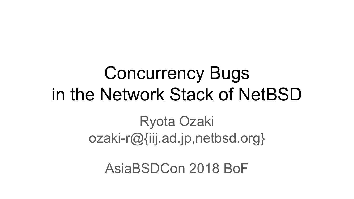# Concurrency Bugs in the Network Stack of NetBSD

#### Ryota Ozaki ozaki-r@{iij.ad.jp,netbsd.org}

AsiaBSDCon 2018 BoF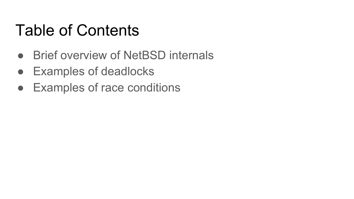#### Table of Contents

- Brief overview of NetBSD internals
- Examples of deadlocks
- Examples of race conditions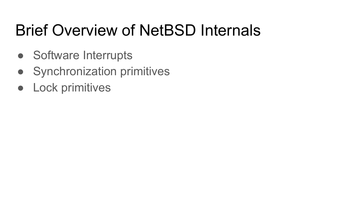# Brief Overview of NetBSD Internals

- Software Interrupts
- Synchronization primitives
- Lock primitives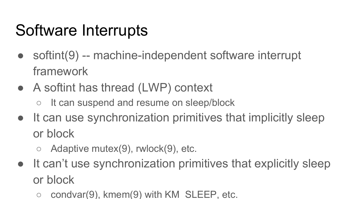## Software Interrupts

- softint(9) -- machine-independent software interrupt framework
- A softint has thread (LWP) context
	- It can suspend and resume on sleep/block
- It can use synchronization primitives that implicitly sleep or block
	- $\circ$  Adaptive mutex(9), rwlock(9), etc.
- It can't use synchronization primitives that explicitly sleep or block
	- $condvar(9)$ , kmem $(9)$  with KM SLEEP, etc.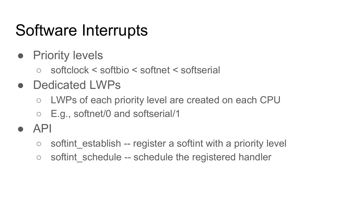### Software Interrupts

- Priority levels
	- softclock < softbio < softnet < softserial
- Dedicated LWPs
	- LWPs of each priority level are created on each CPU
	- E.g., softnet/0 and softserial/1
- $\bullet$  API
	- $\circ$  softint establish -- register a softint with a priority level
	- softint schedule -- schedule the registered handler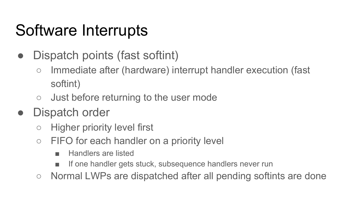## Software Interrupts

- Dispatch points (fast softint)
	- Immediate after (hardware) interrupt handler execution (fast softint)
	- Just before returning to the user mode

#### Dispatch order

- Higher priority level first
- FIFO for each handler on a priority level
	- Handlers are listed
	- If one handler gets stuck, subsequence handlers never run
- Normal LWPs are dispatched after all pending softints are done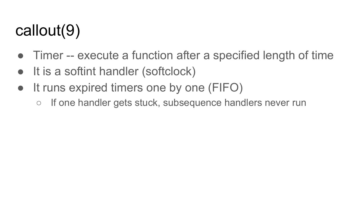# callout(9)

- Timer -- execute a function after a specified length of time
- It is a softint handler (softclock)
- It runs expired timers one by one (FIFO)
	- If one handler gets stuck, subsequence handlers never run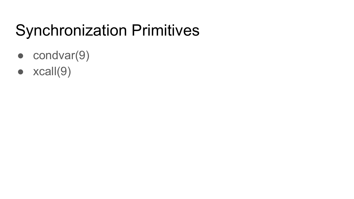# Synchronization Primitives

- condvar(9)
- $\bullet$  xcall(9)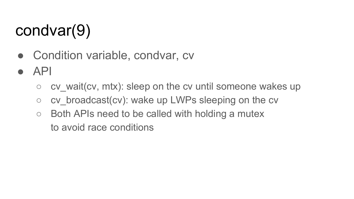# condvar(9)

- Condition variable, condvar, cv
- API
	- $\circ$  cv wait(cv, mtx): sleep on the cv until someone wakes up
	- $\circ$  cv broadcast(cv): wake up LWPs sleeping on the cv
	- $\circ$  Both APIs need to be called with holding a mutex to avoid race conditions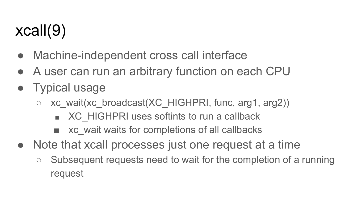# xcall(9)

- Machine-independent cross call interface
- A user can run an arbitrary function on each CPU
- Typical usage
	- xc\_wait(xc\_broadcast(XC\_HIGHPRI, func, arg1, arg2))
		- XC\_HIGHPRI uses softints to run a callback
		- xc\_wait waits for completions of all callbacks
- Note that xcall processes just one request at a time
	- Subsequent requests need to wait for the completion of a running request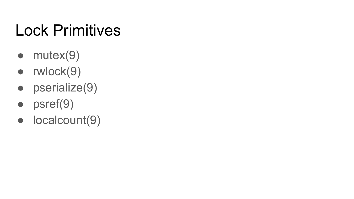# Lock Primitives

- $\bullet$  mutex $(9)$
- rwlock(9)
- pserialize(9)
- psref(9)
- localcount(9)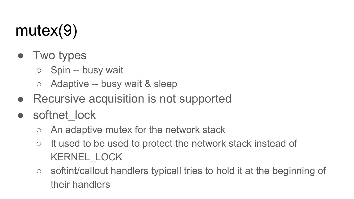# mutex(9)

- Two types
	- Spin -- busy wait
	- Adaptive -- busy wait & sleep
- Recursive acquisition is not supported
- softnet\_lock
	- An adaptive mutex for the network stack
	- It used to be used to protect the network stack instead of KERNEL\_LOCK
	- softint/callout handlers typicall tries to hold it at the beginning of their handlers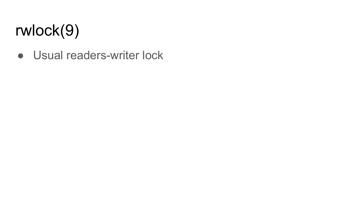# rwlock(9)

• Usual readers-writer lock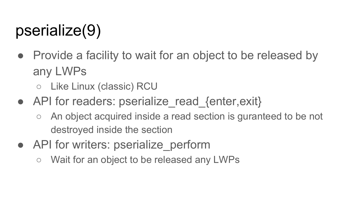# pserialize(9)

• Provide a facility to wait for an object to be released by any LWPs

○ Like Linux (classic) RCU

- API for readers: pserialize read {enter,exit}
	- An object acquired inside a read section is guranteed to be not destroyed inside the section
- API for writers: pserialize perform
	- Wait for an object to be released any LWPs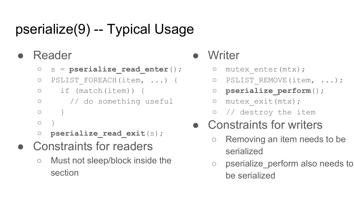#### pserialize(9) -- Typical Usage

#### **Reader**

- s = **pserialize\_read\_enter**();
- PSLIST\_FOREACH(item, ...) {
- if (match(item)) {
- // do something useful
- $\circ$  }
- $\bigcirc$
- **pserialize\_read\_exit**(s);
- Constraints for readers
	- Must not sleep/block inside the section

#### Writer

- o mutex enter(mtx);
- o PSLIST REMOVE(item, ...);
- **pserialize\_perform**();
- mutex\_exit(mtx);
- // destroy the item

#### ● Constraints for writers

- Removing an item needs to be serialized
- pserialize perform also needs to be serialized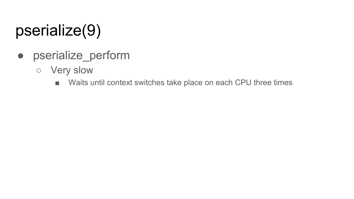# pserialize(9)

- pserialize\_perform
	- Very slow
		- Waits until context switches take place on each CPU three times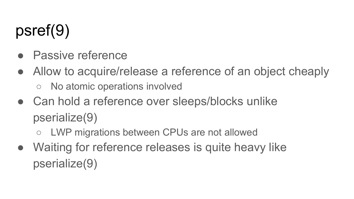# psref(9)

- **Passive reference**
- Allow to acquire/release a reference of an object cheaply
	- No atomic operations involved
- Can hold a reference over sleeps/blocks unlike pserialize(9)
	- LWP migrations between CPUs are not allowed
- Waiting for reference releases is quite heavy like pserialize(9)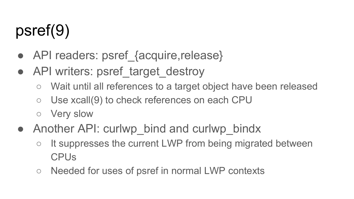# psref(9)

- API readers: psref\_{acquire,release}
- API writers: psref\_target\_destroy
	- Wait until all references to a target object have been released
	- Use xcall(9) to check references on each CPU
	- Very slow
- Another API: curlwp bind and curlwp bindx
	- It suppresses the current LWP from being migrated between CPUs
	- Needed for uses of psref in normal LWP contexts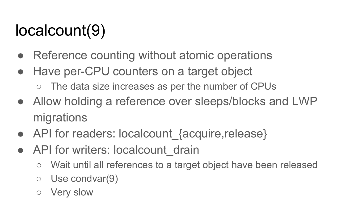# localcount(9)

- Reference counting without atomic operations
- Have per-CPU counters on a target object
	- o The data size increases as per the number of CPUs
- Allow holding a reference over sleeps/blocks and LWP migrations
- API for readers: localcount {acquire,release}
- API for writers: localcount drain
	- Wait until all references to a target object have been released
	- $\circ$  Use condvar(9)
	- **Very slow**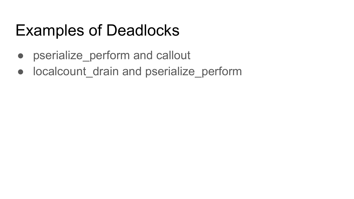### Examples of Deadlocks

- pserialize perform and callout
- localcount drain and pserialize perform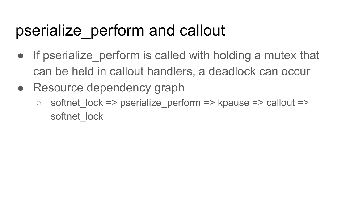### pserialize\_perform and callout

- If pserialize perform is called with holding a mutex that can be held in callout handlers, a deadlock can occur
- Resource dependency graph
	- $\circ$  softnet lock => pserialize perform => kpause => callout => softnet\_lock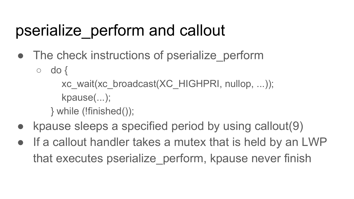### pserialize\_perform and callout

- The check instructions of pserialize perform
	- $\circ$  do {
		- xc\_wait(xc\_broadcast(XC\_HIGHPRI, nullop, ...));
		- kpause(...);
		- } while (!finished());
- kpause sleeps a specified period by using callout $(9)$
- If a callout handler takes a mutex that is held by an LWP that executes pserialize\_perform, kpause never finish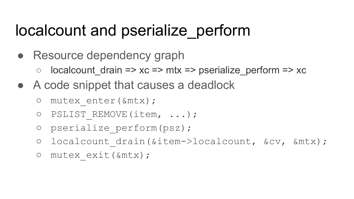- Resource dependency graph
	- $\circ$  localcount drain => xc => mtx => pserialize perform => xc
- A code snippet that causes a deadlock
	- mutex\_enter(&mtx);
	- PSLIST\_REMOVE(item, ...);
	- pserialize\_perform(psz);
	- o localcount drain(&item->localcount, &cv, &mtx);
	- mutex\_exit(&mtx);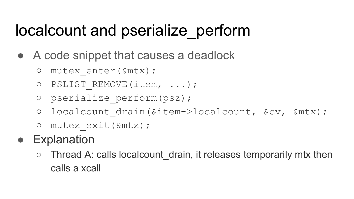- A code snippet that causes a deadlock
	- mutex\_enter(&mtx);
	- o PSLIST REMOVE(item, ...);
	- pserialize\_perform(psz);
	- o localcount drain(&item->localcount, &cv, &mtx);
	- mutex\_exit(&mtx);
- **Explanation** 
	- Thread A: calls localcount drain, it releases temporarily mtx then calls a xcall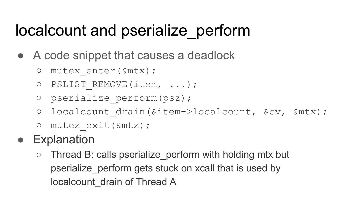- A code snippet that causes a deadlock
	- mutex\_enter(&mtx);
	- o PSLIST REMOVE(item, ...);
	- pserialize\_perform(psz);
	- o localcount drain(&item->localcount, &cv, &mtx);
	- mutex\_exit(&mtx);
- **Explanation** 
	- $\circ$  Thread B: calls pserialize perform with holding mtx but pserialize\_perform gets stuck on xcall that is used by localcount\_drain of Thread A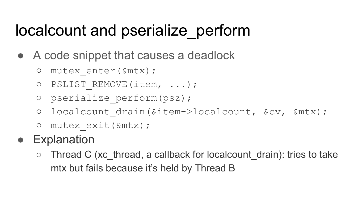- A code snippet that causes a deadlock
	- mutex\_enter(&mtx);
	- o PSLIST REMOVE(item, ...);
	- pserialize\_perform(psz);
	- o localcount drain(&item->localcount, &cv, &mtx);
	- mutex\_exit(&mtx);
- **Explanation** 
	- $\circ$  Thread C (xc thread, a callback for localcount drain): tries to take mtx but fails because it's held by Thread B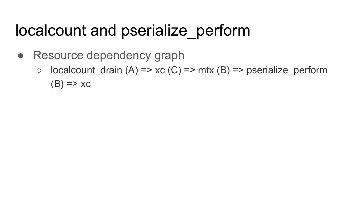- Resource dependency graph
	- $\circ$  localcount\_drain (A) => xc (C) => mtx (B) => pserialize\_perform  $(B) \Rightarrow \chi c$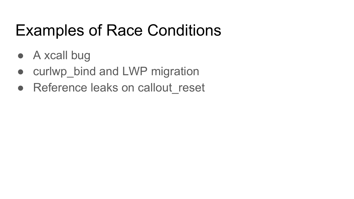## Examples of Race Conditions

- A xcall bug
- curlwp\_bind and LWP migration
- Reference leaks on callout reset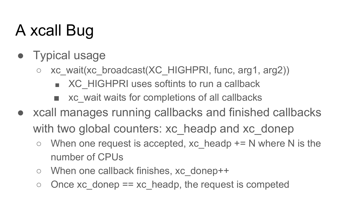# A xcall Bug

- Typical usage
	- xc\_wait(xc\_broadcast(XC\_HIGHPRI, func, arg1, arg2))
		- XC\_HIGHPRI uses softints to run a callback
		- xc wait waits for completions of all callbacks
- xcall manages running callbacks and finished callbacks with two global counters: xc\_headp and xc\_donep
	- $\circ$  When one request is accepted, xc headp  $+= N$  where N is the number of CPUs
	- When one callback finishes, xc\_donep++
	- $\circ$  Once xc\_donep == xc\_headp, the request is competed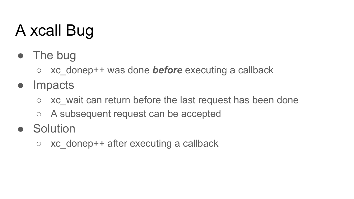# A xcall Bug

- The bug
	- xc\_donep++ was done *before* executing a callback
- Impacts
	- $\circ$  xc wait can return before the last request has been done
	- A subsequent request can be accepted
- Solution
	- $\circ$  xc donep++ after executing a callback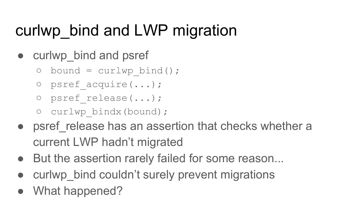# curlwp\_bind and LWP migration

- curlwp bind and psref
	- $\circ$  bound = curlwp bind();
	- psref\_acquire(...);
	- psref\_release(...);
	- curlwp\_bindx(bound);
- psref release has an assertion that checks whether a current LWP hadn't migrated
- But the assertion rarely failed for some reason...
- curlwp bind couldn't surely prevent migrations
- What happened?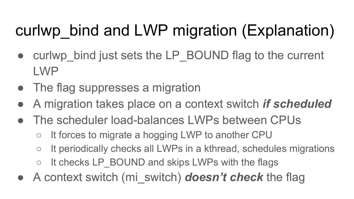# curlwp bind and LWP migration (Explanation)

- curlwp bind just sets the LP BOUND flag to the current LWP
- The flag suppresses a migration
- A migration takes place on a context switch *if scheduled*
- The scheduler load-balances LWPs between CPUs
	- It forces to migrate a hogging LWP to another CPU
	- It periodically checks all LWPs in a kthread, schedules migrations
	- It checks LP BOUND and skips LWPs with the flags
- A context switch (mi\_switch) **doesn't check** the flag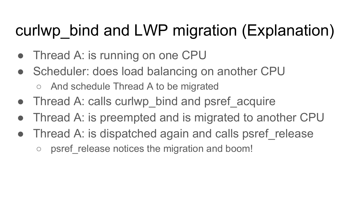# curlwp bind and LWP migration (Explanation)

- Thread A: is running on one CPU
- Scheduler: does load balancing on another CPU
	- And schedule Thread A to be migrated
- Thread A: calls curlwp bind and psref acquire
- Thread A: is preempted and is migrated to another CPU
- Thread A: is dispatched again and calls psref release
	- psref release notices the migration and boom!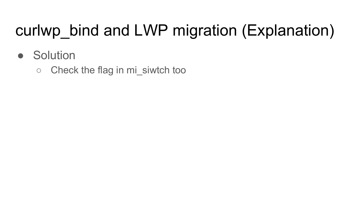# curlwp\_bind and LWP migration (Explanation)

- Solution
	- Check the flag in mi\_siwtch too